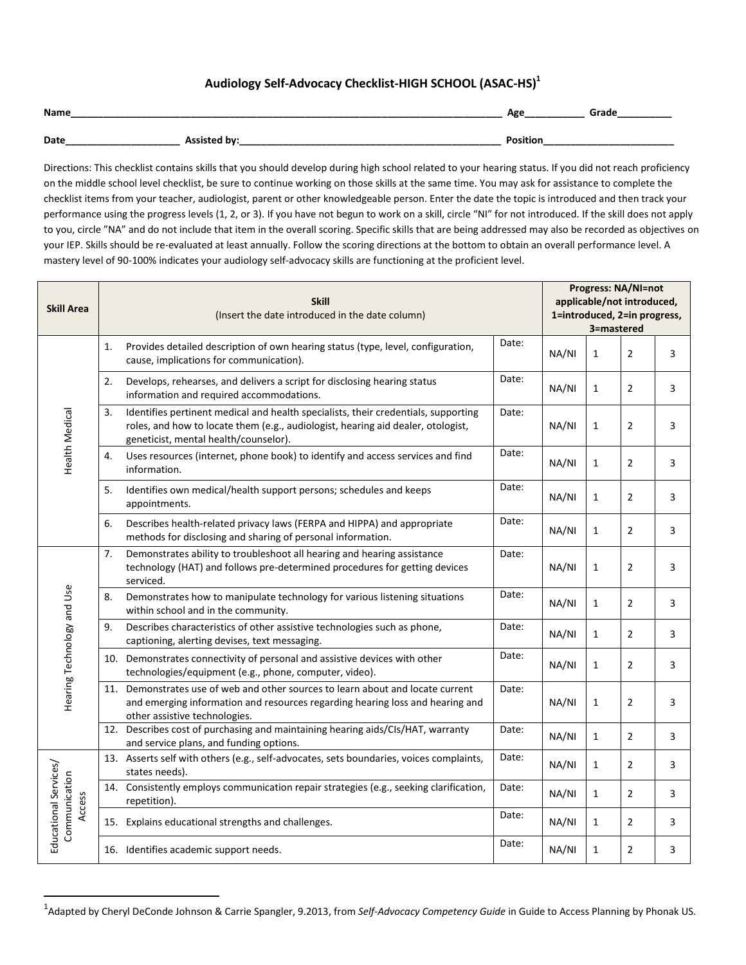## **Audiology Self-Advocacy Checklist-HIGH SCHOOL (ASAC-HS) 1**

| Name |                     | Age             | Grade |
|------|---------------------|-----------------|-------|
| Date | <b>Assisted by:</b> | <b>Position</b> |       |

Directions: This checklist contains skills that you should develop during high school related to your hearing status. If you did not reach proficiency on the middle school level checklist, be sure to continue working on those skills at the same time. You may ask for assistance to complete the checklist items from your teacher, audiologist, parent or other knowledgeable person. Enter the date the topic is introduced and then track your performance using the progress levels (1, 2, or 3). If you have not begun to work on a skill, circle "NI" for not introduced. If the skill does not apply to you, circle "NA" and do not include that item in the overall scoring. Specific skills that are being addressed may also be recorded as objectives on your IEP. Skills should be re-evaluated at least annually. Follow the scoring directions at the bottom to obtain an overall performance level. A mastery level of 90-100% indicates your audiology self-advocacy skills are functioning at the proficient level.

| <b>Skill Area</b>                                |    | <b>Skill</b><br>(Insert the date introduced in the date column)                                                                                                                                                 |       |       | <b>Progress: NA/NI=not</b><br>applicable/not introduced,<br>1=introduced, 2=in progress,<br>3=mastered |                |   |  |  |
|--------------------------------------------------|----|-----------------------------------------------------------------------------------------------------------------------------------------------------------------------------------------------------------------|-------|-------|--------------------------------------------------------------------------------------------------------|----------------|---|--|--|
| Health Medical                                   | 1. | Provides detailed description of own hearing status (type, level, configuration,<br>cause, implications for communication).                                                                                     | Date: | NA/NI | $\mathbf{1}$                                                                                           | $\overline{2}$ | 3 |  |  |
|                                                  | 2. | Develops, rehearses, and delivers a script for disclosing hearing status<br>information and required accommodations.                                                                                            | Date: | NA/NI | $\mathbf{1}$                                                                                           | $\overline{2}$ | 3 |  |  |
|                                                  | 3. | Identifies pertinent medical and health specialists, their credentials, supporting<br>roles, and how to locate them (e.g., audiologist, hearing aid dealer, otologist,<br>geneticist, mental health/counselor). | Date: | NA/NI | $\mathbf{1}$                                                                                           | $\overline{2}$ | 3 |  |  |
|                                                  | 4. | Uses resources (internet, phone book) to identify and access services and find<br>information.                                                                                                                  | Date: | NA/NI | $\mathbf{1}$                                                                                           | $\overline{2}$ | 3 |  |  |
|                                                  | 5. | Identifies own medical/health support persons; schedules and keeps<br>appointments.                                                                                                                             | Date: | NA/NI | $\mathbf{1}$                                                                                           | $\overline{2}$ | 3 |  |  |
|                                                  | 6. | Describes health-related privacy laws (FERPA and HIPPA) and appropriate<br>methods for disclosing and sharing of personal information.                                                                          | Date: | NA/NI | $\mathbf{1}$                                                                                           | $\overline{2}$ | 3 |  |  |
| Hearing Technology and Use                       | 7. | Demonstrates ability to troubleshoot all hearing and hearing assistance<br>technology (HAT) and follows pre-determined procedures for getting devices<br>serviced.                                              | Date: | NA/NI | $\mathbf{1}$                                                                                           | $\overline{2}$ | 3 |  |  |
|                                                  | 8. | Demonstrates how to manipulate technology for various listening situations<br>within school and in the community.                                                                                               | Date: | NA/NI | $\mathbf{1}$                                                                                           | $\overline{2}$ | 3 |  |  |
|                                                  | 9. | Describes characteristics of other assistive technologies such as phone,<br>captioning, alerting devises, text messaging.                                                                                       | Date: | NA/NI | $\mathbf{1}$                                                                                           | $\overline{2}$ | 3 |  |  |
|                                                  |    | 10. Demonstrates connectivity of personal and assistive devices with other<br>technologies/equipment (e.g., phone, computer, video).                                                                            | Date: | NA/NI | $\mathbf{1}$                                                                                           | $\overline{2}$ | 3 |  |  |
|                                                  |    | 11. Demonstrates use of web and other sources to learn about and locate current<br>and emerging information and resources regarding hearing loss and hearing and<br>other assistive technologies.               | Date: | NA/NI | $\mathbf{1}$                                                                                           | $\overline{2}$ | 3 |  |  |
|                                                  |    | 12. Describes cost of purchasing and maintaining hearing aids/CIs/HAT, warranty<br>and service plans, and funding options.                                                                                      | Date: | NA/NI | $\mathbf{1}$                                                                                           | $\overline{2}$ | 3 |  |  |
| Educational Services/<br>Communication<br>Access |    | 13. Asserts self with others (e.g., self-advocates, sets boundaries, voices complaints,<br>states needs).                                                                                                       | Date: | NA/NI | $\mathbf{1}$                                                                                           | $\overline{2}$ | 3 |  |  |
|                                                  |    | 14. Consistently employs communication repair strategies (e.g., seeking clarification,<br>repetition).                                                                                                          | Date: | NA/NI | $\mathbf{1}$                                                                                           | $\overline{2}$ | 3 |  |  |
|                                                  |    | 15. Explains educational strengths and challenges.                                                                                                                                                              | Date: | NA/NI | $\mathbf{1}$                                                                                           | $\overline{2}$ | 3 |  |  |
|                                                  |    | 16. Identifies academic support needs.                                                                                                                                                                          | Date: | NA/NI | $\mathbf{1}$                                                                                           | $\overline{2}$ | 3 |  |  |

<sup>1</sup> Adapted by Cheryl DeConde Johnson & Carrie Spangler, 9.2013, from *Self-Advocacy Competency Guide* in Guide to Access Planning by Phonak US.

 $\overline{a}$